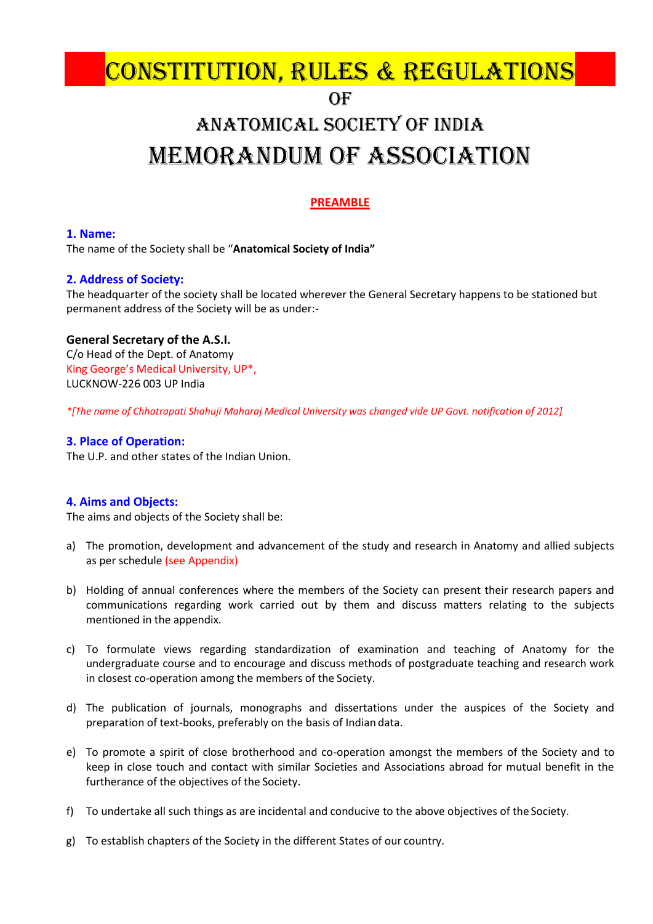# $OF$ CONSTITUTION, RULES & REGULATIONS

# anatoMiCal soCietY of inDia MeMoRanDuM of assoCiation

# **PREAMBLE**

# **1. Name:**

The name of the Society shall be "**Anatomical Society of India"**

# **2. Address of Society:**

The headquarter of the society shall be located wherever the General Secretary happens to be stationed but permanent address of the Society will be as under:-

## **General Secretary of the A.S.I.**

C/o Head of the Dept. of Anatomy King George's Medical University, UP\*, LUCKNOW-226 003 UP India

*\*[The name of Chhatrapati Shahuji Maharaj Medical University was changed vide UP Govt. notification of 2012]*

# **3. Place of Operation:**

The U.P. and other states of the Indian Union.

# **4. Aims and Objects:**

The aims and objects of the Society shall be:

- a) The promotion, development and advancement of the study and research in Anatomy and allied subjects as per schedule (see Appendix)
- b) Holding of annual conferences where the members of the Society can present their research papers and communications regarding work carried out by them and discuss matters relating to the subjects mentioned in the appendix.
- c) To formulate views regarding standardization of examination and teaching of Anatomy for the undergraduate course and to encourage and discuss methods of postgraduate teaching and research work in closest co-operation among the members of the Society.
- d) The publication of journals, monographs and dissertations under the auspices of the Society and preparation of text-books, preferably on the basis of Indian data.
- e) To promote a spirit of close brotherhood and co-operation amongst the members of the Society and to keep in close touch and contact with similar Societies and Associations abroad for mutual benefit in the furtherance of the objectives of the Society.
- f) To undertake all such things as are incidental and conducive to the above objectives of the Society.
- g) To establish chapters of the Society in the different States of our country.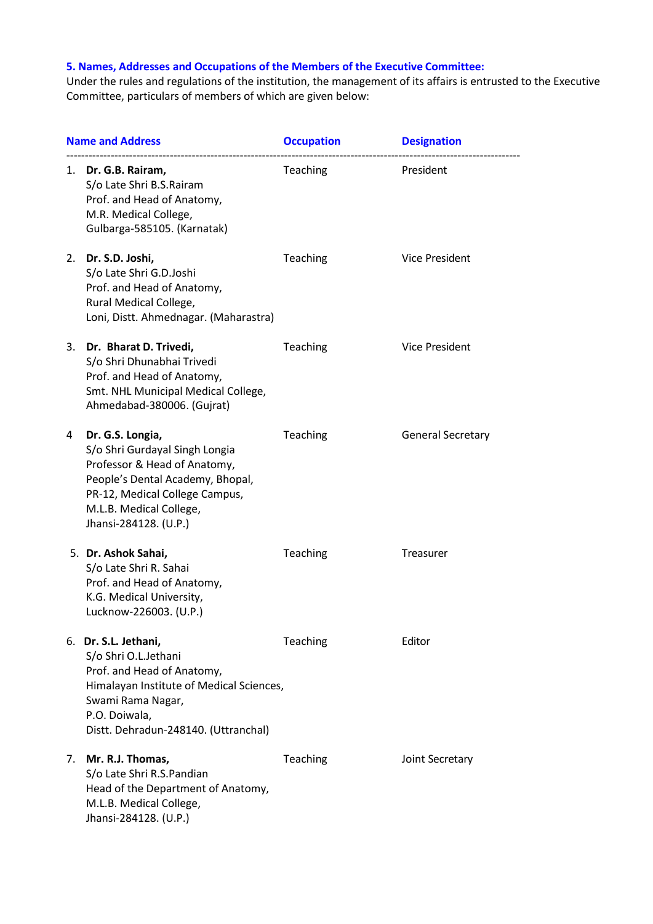# **5. Names, Addresses and Occupations of the Members of the Executive Committee:**

Under the rules and regulations of the institution, the management of its affairs is entrusted to the Executive Committee, particulars of members of which are given below:

| <b>Name and Address</b> |                                                                                                                                                                                                              | <b>Occupation</b> | <b>Designation</b>       |  |
|-------------------------|--------------------------------------------------------------------------------------------------------------------------------------------------------------------------------------------------------------|-------------------|--------------------------|--|
|                         | 1. Dr. G.B. Rairam,<br>S/o Late Shri B.S.Rairam<br>Prof. and Head of Anatomy,<br>M.R. Medical College,<br>Gulbarga-585105. (Karnatak)                                                                        | <b>Teaching</b>   | President                |  |
|                         | 2. Dr. S.D. Joshi,<br>S/o Late Shri G.D.Joshi<br>Prof. and Head of Anatomy,<br>Rural Medical College,<br>Loni, Distt. Ahmednagar. (Maharastra)                                                               | Teaching          | <b>Vice President</b>    |  |
| 3.                      | Dr. Bharat D. Trivedi,<br>S/o Shri Dhunabhai Trivedi<br>Prof. and Head of Anatomy,<br>Smt. NHL Municipal Medical College,<br>Ahmedabad-380006. (Gujrat)                                                      | Teaching          | Vice President           |  |
| 4                       | Dr. G.S. Longia,<br>S/o Shri Gurdayal Singh Longia<br>Professor & Head of Anatomy,<br>People's Dental Academy, Bhopal,<br>PR-12, Medical College Campus,<br>M.L.B. Medical College,<br>Jhansi-284128. (U.P.) | Teaching          | <b>General Secretary</b> |  |
|                         | 5. Dr. Ashok Sahai,<br>S/o Late Shri R. Sahai<br>Prof. and Head of Anatomy,<br>K.G. Medical University,<br>Lucknow-226003. (U.P.)                                                                            | Teaching          | <b>Treasurer</b>         |  |
|                         | 6. Dr. S.L. Jethani,<br>S/o Shri O.L.Jethani<br>Prof. and Head of Anatomy,<br>Himalayan Institute of Medical Sciences,<br>Swami Rama Nagar,<br>P.O. Doiwala,<br>Distt. Dehradun-248140. (Uttranchal)         | Teaching          | Editor                   |  |
| 7.                      | Mr. R.J. Thomas,<br>S/o Late Shri R.S.Pandian<br>Head of the Department of Anatomy,<br>M.L.B. Medical College,<br>Jhansi-284128. (U.P.)                                                                      | Teaching          | Joint Secretary          |  |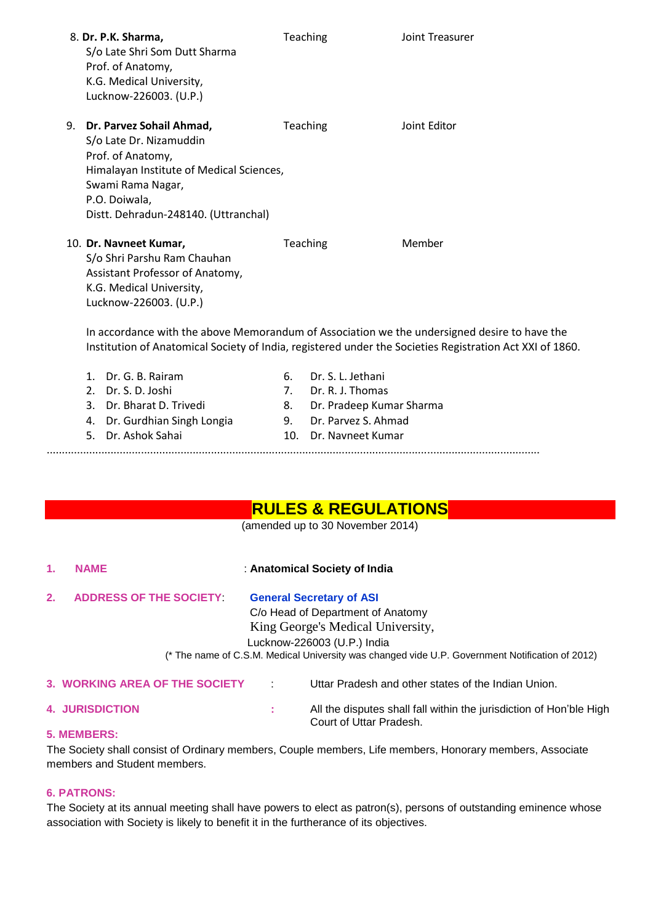|    | 8. Dr. P.K. Sharma,<br>S/o Late Shri Som Dutt Sharma<br>Prof. of Anatomy,<br>K.G. Medical University,<br>Lucknow-226003. (U.P.)                                                                                                                |     | <b>Teaching</b>          | Joint Treasurer                                                                                          |
|----|------------------------------------------------------------------------------------------------------------------------------------------------------------------------------------------------------------------------------------------------|-----|--------------------------|----------------------------------------------------------------------------------------------------------|
| 9. | Dr. Parvez Sohail Ahmad,<br>S/o Late Dr. Nizamuddin<br>Prof. of Anatomy,<br>Himalayan Institute of Medical Sciences,<br>Swami Rama Nagar,<br>P.O. Doiwala,<br>Distt. Dehradun-248140. (Uttranchal)                                             |     | Teaching                 | Joint Editor                                                                                             |
|    | 10. Dr. Navneet Kumar,<br>S/o Shri Parshu Ram Chauhan<br>Assistant Professor of Anatomy,<br>K.G. Medical University,<br>Lucknow-226003. (U.P.)<br>In accordance with the above Memorandum of Association we the undersigned desire to have the |     | Teaching                 | Member                                                                                                   |
|    |                                                                                                                                                                                                                                                |     |                          | Institution of Anatomical Society of India, registered under the Societies Registration Act XXI of 1860. |
|    | 1. Dr. G. B. Rairam                                                                                                                                                                                                                            | 6.  | Dr. S. L. Jethani        |                                                                                                          |
|    | 2. Dr. S. D. Joshi                                                                                                                                                                                                                             | 7.  | Dr. R. J. Thomas         |                                                                                                          |
|    | 3. Dr. Bharat D. Trivedi                                                                                                                                                                                                                       | 8.  | Dr. Pradeep Kumar Sharma |                                                                                                          |
|    | 4. Dr. Gurdhian Singh Longia                                                                                                                                                                                                                   | 9.  | Dr. Parvez S. Ahmad      |                                                                                                          |
|    | 5.<br>Dr. Ashok Sahai                                                                                                                                                                                                                          | 10. | Dr. Navneet Kumar        |                                                                                                          |

**RULES & REGULATIONS**

(amended up to 30 November 2014)

..................................................................................................................................................................

| 1.                                                                                              | <b>NAME</b>                    | : Anatomical Society of India   |                                                     |  |  |  |  |
|-------------------------------------------------------------------------------------------------|--------------------------------|---------------------------------|-----------------------------------------------------|--|--|--|--|
| 2.                                                                                              | <b>ADDRESS OF THE SOCIETY</b>  | <b>General Secretary of ASI</b> |                                                     |  |  |  |  |
|                                                                                                 |                                |                                 | C/o Head of Department of Anatomy                   |  |  |  |  |
| King George's Medical University,                                                               |                                |                                 |                                                     |  |  |  |  |
|                                                                                                 | Lucknow-226003 (U.P.) India    |                                 |                                                     |  |  |  |  |
| (* The name of C.S.M. Medical University was changed vide U.P. Government Notification of 2012) |                                |                                 |                                                     |  |  |  |  |
|                                                                                                 | 3. WORKING AREA OF THE SOCIETY | ÷                               | Uttar Pradesh and other states of the Indian Union. |  |  |  |  |

- 
- **4. JURISDICTION :** All the disputes shall fall within the jurisdiction of Hon"ble High Court of Uttar Pradesh.

## **5. MEMBERS:**

The Society shall consist of Ordinary members, Couple members, Life members, Honorary members, Associate members and Student members.

## **6. PATRONS:**

The Society at its annual meeting shall have powers to elect as patron(s), persons of outstanding eminence whose association with Society is likely to benefit it in the furtherance of its objectives.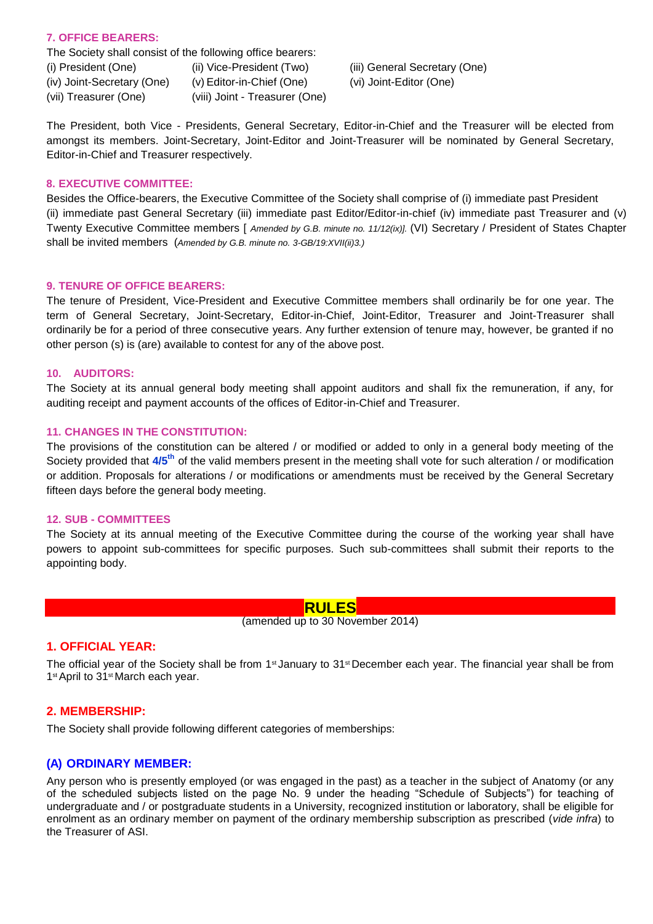### **7. OFFICE BEARERS:**

The Society shall consist of the following office bearers:

(i) President (One) (ii) Vice-President (Two) (iii) General Secretary (One) (iv) Joint-Secretary (One) (v) Editor-in-Chief (One) (vi) Joint-Editor (One) (vii) Treasurer (One) (viii) Joint - Treasurer (One)

The President, both Vice - Presidents, General Secretary, Editor-in-Chief and the Treasurer will be elected from amongst its members. Joint-Secretary, Joint-Editor and Joint-Treasurer will be nominated by General Secretary, Editor-in-Chief and Treasurer respectively.

#### **8. EXECUTIVE COMMITTEE:**

Besides the Office-bearers, the Executive Committee of the Society shall comprise of (i) immediate past President (ii) immediate past General Secretary (iii) immediate past Editor/Editor-in-chief (iv) immediate past Treasurer and (v) Twenty Executive Committee members [ *Amended by G.B. minute no. 11/12(ix)].* (VI) Secretary / President of States Chapter shall be invited members (*Amended by G.B. minute no. 3-GB/19:XVII(ii)3.)*

## **9. TENURE OF OFFICE BEARERS:**

The tenure of President, Vice-President and Executive Committee members shall ordinarily be for one year. The term of General Secretary, Joint-Secretary, Editor-in-Chief, Joint-Editor, Treasurer and Joint-Treasurer shall ordinarily be for a period of three consecutive years. Any further extension of tenure may, however, be granted if no other person (s) is (are) available to contest for any of the above post.

### **10. AUDITORS:**

The Society at its annual general body meeting shall appoint auditors and shall fix the remuneration, if any, for auditing receipt and payment accounts of the offices of Editor-in-Chief and Treasurer.

### **11. CHANGES IN THE CONSTITUTION:**

The provisions of the constitution can be altered / or modified or added to only in a general body meeting of the Society provided that **4/5th** of the valid members present in the meeting shall vote for such alteration / or modification or addition. Proposals for alterations / or modifications or amendments must be received by the General Secretary fifteen days before the general body meeting.

#### **12. SUB - COMMITTEES**

The Society at its annual meeting of the Executive Committee during the course of the working year shall have powers to appoint sub-committees for specific purposes. Such sub-committees shall submit their reports to the appointing body.

### **RULES**

(amended up to 30 November 2014)

# **1. OFFICIAL YEAR:**

The official year of the Society shall be from  $1<sup>st</sup>$  January to  $31<sup>st</sup>$  December each year. The financial year shall be from 1<sup>st</sup> April to 31<sup>st</sup> March each year.

## **2. MEMBERSHIP:**

The Society shall provide following different categories of memberships:

# **(A) ORDINARY MEMBER:**

Any person who is presently employed (or was engaged in the past) as a teacher in the subject of Anatomy (or any of the scheduled subjects listed on the page No. 9 under the heading "Schedule of Subjects") for teaching of undergraduate and / or postgraduate students in a University, recognized institution or laboratory, shall be eligible for enrolment as an ordinary member on payment of the ordinary membership subscription as prescribed (*vide infra*) to the Treasurer of ASI.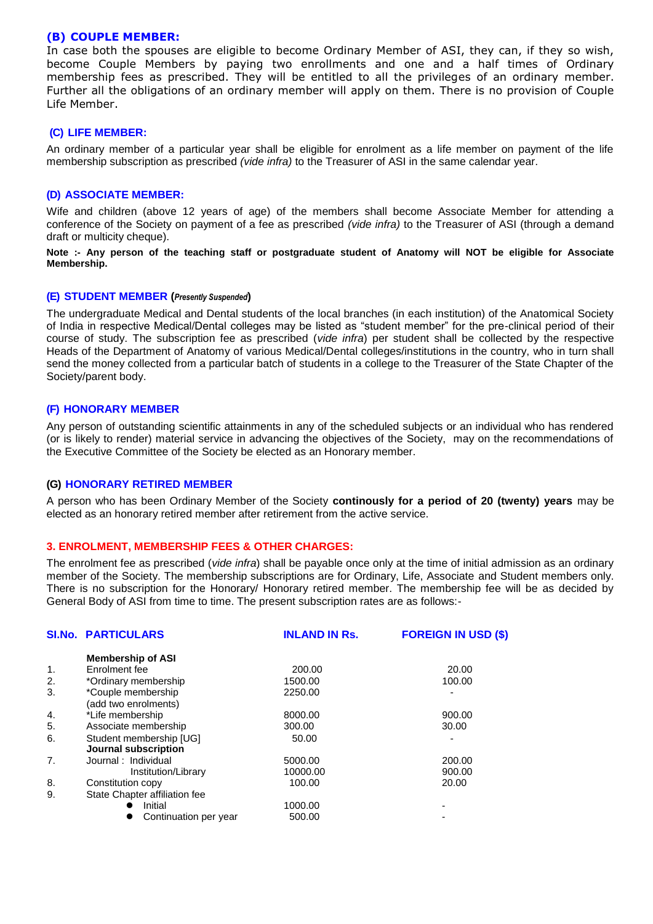#### **(B) COUPLE MEMBER:**

In case both the spouses are eligible to become Ordinary Member of ASI, they can, if they so wish, become Couple Members by paying two enrollments and one and a half times of Ordinary membership fees as prescribed. They will be entitled to all the privileges of an ordinary member. Further all the obligations of an ordinary member will apply on them. There is no provision of Couple Life Member.

#### **(C) LIFE MEMBER:**

An ordinary member of a particular year shall be eligible for enrolment as a life member on payment of the life membership subscription as prescribed *(vide infra)* to the Treasurer of ASI in the same calendar year.

### **(D) ASSOCIATE MEMBER:**

Wife and children (above 12 years of age) of the members shall become Associate Member for attending a conference of the Society on payment of a fee as prescribed *(vide infra)* to the Treasurer of ASI (through a demand draft or multicity cheque).

**Note :- Any person of the teaching staff or postgraduate student of Anatomy will NOT be eligible for Associate Membership.**

#### **(E) STUDENT MEMBER (***Presently Suspended***)**

The undergraduate Medical and Dental students of the local branches (in each institution) of the Anatomical Society of India in respective Medical/Dental colleges may be listed as "student member" for the pre-clinical period of their course of study. The subscription fee as prescribed (*vide infra*) per student shall be collected by the respective Heads of the Department of Anatomy of various Medical/Dental colleges/institutions in the country, who in turn shall send the money collected from a particular batch of students in a college to the Treasurer of the State Chapter of the Society/parent body.

### **(F) HONORARY MEMBER**

Any person of outstanding scientific attainments in any of the scheduled subjects or an individual who has rendered (or is likely to render) material service in advancing the objectives of the Society, may on the recommendations of the Executive Committee of the Society be elected as an Honorary member.

#### **(G) HONORARY RETIRED MEMBER**

A person who has been Ordinary Member of the Society **continously for a period of 20 (twenty) years** may be elected as an honorary retired member after retirement from the active service.

#### **3. ENROLMENT, MEMBERSHIP FEES & OTHER CHARGES:**

The enrolment fee as prescribed (*vide infra*) shall be payable once only at the time of initial admission as an ordinary member of the Society. The membership subscriptions are for Ordinary, Life, Associate and Student members only. There is no subscription for the Honorary/ Honorary retired member. The membership fee will be as decided by General Body of ASI from time to time. The present subscription rates are as follows:-

| <b>SI.No. PARTICULARS</b>                       | <b>INLAND IN Rs.</b> | <b>FOREIGN IN USD (\$)</b> |  |
|-------------------------------------------------|----------------------|----------------------------|--|
| <b>Membership of ASI</b>                        |                      |                            |  |
| Enrolment fee                                   | 200.00               | 20.00                      |  |
| *Ordinary membership                            | 1500.00              | 100.00                     |  |
| *Couple membership<br>(add two enrolments)      | 2250.00              |                            |  |
| *Life membership                                | 8000.00              | 900.00                     |  |
| Associate membership                            | 300.00               | 30.00                      |  |
| Student membership [UG]<br>Journal subscription | 50.00                |                            |  |
| Journal: Individual                             | 5000.00              | 200.00                     |  |
| Institution/Library                             | 10000.00             | 900.00                     |  |
| Constitution copy                               | 100.00               | 20.00                      |  |
| State Chapter affiliation fee                   |                      |                            |  |
| Initial                                         | 1000.00              |                            |  |
| Continuation per year                           | 500.00               |                            |  |
|                                                 |                      |                            |  |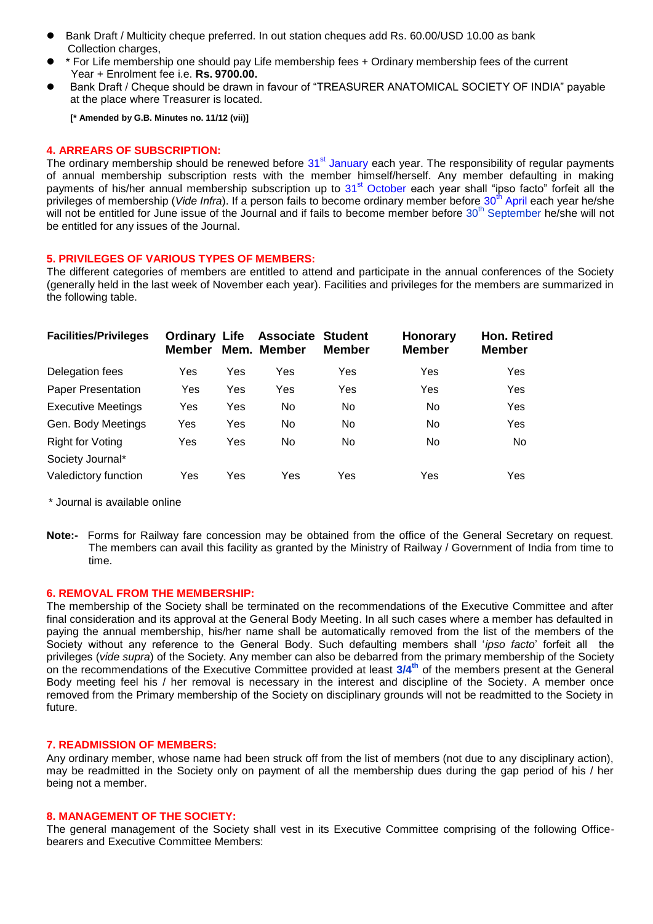- Bank Draft / Multicity cheque preferred. In out station cheques add Rs. 60.00/USD 10.00 as bank Collection charges,
- \* For Life membership one should pay Life membership fees + Ordinary membership fees of the current Year + Enrolment fee i.e. **Rs. 9700.00.**
- Bank Draft / Cheque should be drawn in favour of "TREASURER ANATOMICAL SOCIETY OF INDIA" payable at the place where Treasurer is located.

**[\* Amended by G.B. Minutes no. 11/12 (vii)]**

#### **4. ARREARS OF SUBSCRIPTION:**

The ordinary membership should be renewed before  $31<sup>st</sup>$  January each year. The responsibility of regular payments of annual membership subscription rests with the member himself/herself. Any member defaulting in making payments of his/her annual membership subscription up to 31<sup>st</sup> October each year shall "ipso facto" forfeit all the privileges of membership (*Vide Infra*). If a person fails to become ordinary member before 30<sup>th</sup> April each year he/she will not be entitled for June issue of the Journal and if fails to become member before 30<sup>th</sup> September he/she will not be entitled for any issues of the Journal.

#### **5. PRIVILEGES OF VARIOUS TYPES OF MEMBERS:**

The different categories of members are entitled to attend and participate in the annual conferences of the Society (generally held in the last week of November each year). Facilities and privileges for the members are summarized in the following table.

| <b>Facilities/Privileges</b>                | <b>Ordinary Life</b><br><b>Member</b> |     | Associate<br>Mem. Member | <b>Student</b><br><b>Member</b> | <b>Honorary</b><br><b>Member</b> | <b>Hon. Retired</b><br><b>Member</b> |
|---------------------------------------------|---------------------------------------|-----|--------------------------|---------------------------------|----------------------------------|--------------------------------------|
| Delegation fees                             | Yes                                   | Yes | Yes                      | Yes                             | Yes                              | Yes                                  |
| <b>Paper Presentation</b>                   | Yes                                   | Yes | Yes                      | Yes                             | Yes                              | Yes                                  |
| <b>Executive Meetings</b>                   | Yes                                   | Yes | No.                      | No                              | No                               | Yes                                  |
| Gen. Body Meetings                          | Yes                                   | Yes | No.                      | No                              | No                               | Yes                                  |
| <b>Right for Voting</b><br>Society Journal* | Yes                                   | Yes | No.                      | No.                             | No                               | No.                                  |
| Valedictory function                        | Yes                                   | Yes | Yes                      | Yes                             | Yes                              | Yes                                  |

\* Journal is available online

**Note:-** Forms for Railway fare concession may be obtained from the office of the General Secretary on request. The members can avail this facility as granted by the Ministry of Railway / Government of India from time to time.

#### **6. REMOVAL FROM THE MEMBERSHIP:**

The membership of the Society shall be terminated on the recommendations of the Executive Committee and after final consideration and its approval at the General Body Meeting. In all such cases where a member has defaulted in paying the annual membership, his/her name shall be automatically removed from the list of the members of the Society without any reference to the General Body. Such defaulting members shall "*ipso facto*" forfeit all the privileges (*vide supra*) of the Society. Any member can also be debarred from the primary membership of the Society on the recommendations of the Executive Committee provided at least **3/4th** of the members present at the General Body meeting feel his / her removal is necessary in the interest and discipline of the Society. A member once removed from the Primary membership of the Society on disciplinary grounds will not be readmitted to the Society in future.

#### **7. READMISSION OF MEMBERS:**

Any ordinary member, whose name had been struck off from the list of members (not due to any disciplinary action), may be readmitted in the Society only on payment of all the membership dues during the gap period of his / her being not a member.

#### **8. MANAGEMENT OF THE SOCIETY:**

The general management of the Society shall vest in its Executive Committee comprising of the following Officebearers and Executive Committee Members: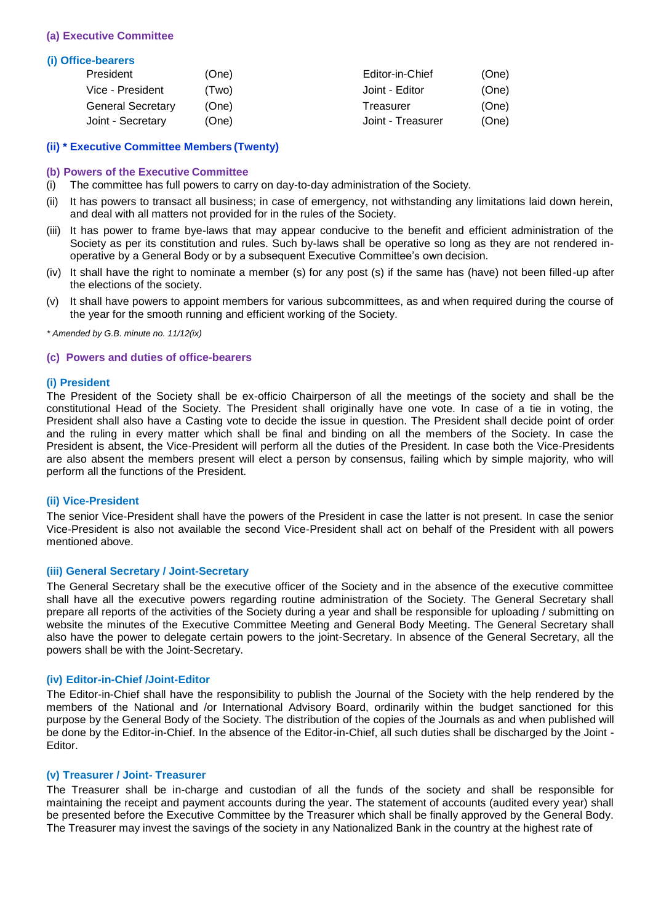#### **(a) Executive Committee**

#### **(i) Office-bearers**

| President                | (One) | Editor-in-Chief   | (One) |
|--------------------------|-------|-------------------|-------|
| Vice - President         | (Two) | Joint - Editor    | (One) |
| <b>General Secretary</b> | (One) | Treasurer         | (One) |
| Joint - Secretary        | (One) | Joint - Treasurer | (One) |

#### **(ii) \* Executive Committee Members (Twenty)**

#### **(b) Powers of the Executive Committee**

- (i) The committee has full powers to carry on day-to-day administration of the Society.
- (ii) It has powers to transact all business; in case of emergency, not withstanding any limitations laid down herein, and deal with all matters not provided for in the rules of the Society.
- (iii) It has power to frame bye-laws that may appear conducive to the benefit and efficient administration of the Society as per its constitution and rules. Such by-laws shall be operative so long as they are not rendered inoperative by a General Body or by a subsequent Executive Committee"s own decision.
- (iv) It shall have the right to nominate a member (s) for any post (s) if the same has (have) not been filled-up after the elections of the society.
- (v) It shall have powers to appoint members for various subcommittees, as and when required during the course of the year for the smooth running and efficient working of the Society.

*\* Amended by G.B. minute no. 11/12(ix)*

#### **(c) Powers and duties of office-bearers**

#### **(i) President**

The President of the Society shall be ex-officio Chairperson of all the meetings of the society and shall be the constitutional Head of the Society. The President shall originally have one vote. In case of a tie in voting, the President shall also have a Casting vote to decide the issue in question. The President shall decide point of order and the ruling in every matter which shall be final and binding on all the members of the Society. In case the President is absent, the Vice-President will perform all the duties of the President. In case both the Vice-Presidents are also absent the members present will elect a person by consensus, failing which by simple majority, who will perform all the functions of the President.

#### **(ii) Vice-President**

The senior Vice-President shall have the powers of the President in case the latter is not present. In case the senior Vice-President is also not available the second Vice-President shall act on behalf of the President with all powers mentioned above.

#### **(iii) General Secretary / Joint-Secretary**

The General Secretary shall be the executive officer of the Society and in the absence of the executive committee shall have all the executive powers regarding routine administration of the Society. The General Secretary shall prepare all reports of the activities of the Society during a year and shall be responsible for uploading / submitting on website the minutes of the Executive Committee Meeting and General Body Meeting. The General Secretary shall also have the power to delegate certain powers to the joint-Secretary. In absence of the General Secretary, all the powers shall be with the Joint-Secretary.

#### **(iv) Editor-in-Chief /Joint-Editor**

The Editor-in-Chief shall have the responsibility to publish the Journal of the Society with the help rendered by the members of the National and /or International Advisory Board, ordinarily within the budget sanctioned for this purpose by the General Body of the Society. The distribution of the copies of the Journals as and when published will be done by the Editor-in-Chief. In the absence of the Editor-in-Chief, all such duties shall be discharged by the Joint - Editor.

#### **(v) Treasurer / Joint- Treasurer**

The Treasurer shall be in-charge and custodian of all the funds of the society and shall be responsible for maintaining the receipt and payment accounts during the year. The statement of accounts (audited every year) shall be presented before the Executive Committee by the Treasurer which shall be finally approved by the General Body. The Treasurer may invest the savings of the society in any Nationalized Bank in the country at the highest rate of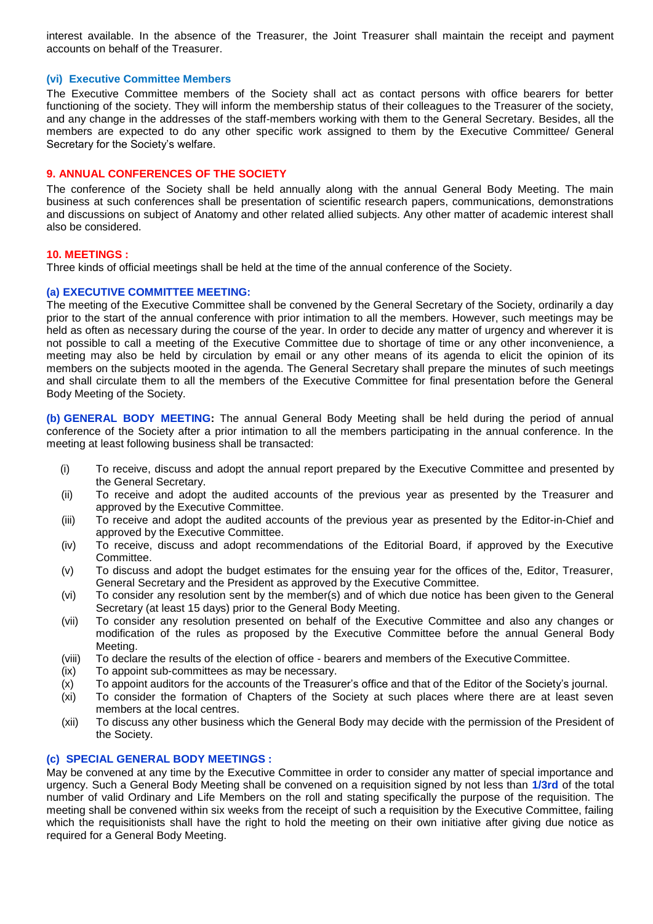interest available. In the absence of the Treasurer, the Joint Treasurer shall maintain the receipt and payment accounts on behalf of the Treasurer.

## **(vi) Executive Committee Members**

The Executive Committee members of the Society shall act as contact persons with office bearers for better functioning of the society. They will inform the membership status of their colleagues to the Treasurer of the society, and any change in the addresses of the staff-members working with them to the General Secretary. Besides, all the members are expected to do any other specific work assigned to them by the Executive Committee/ General Secretary for the Society's welfare.

## **9. ANNUAL CONFERENCES OF THE SOCIETY**

The conference of the Society shall be held annually along with the annual General Body Meeting. The main business at such conferences shall be presentation of scientific research papers, communications, demonstrations and discussions on subject of Anatomy and other related allied subjects. Any other matter of academic interest shall also be considered.

#### **10. MEETINGS :**

Three kinds of official meetings shall be held at the time of the annual conference of the Society.

#### **(a) EXECUTIVE COMMITTEE MEETING:**

The meeting of the Executive Committee shall be convened by the General Secretary of the Society, ordinarily a day prior to the start of the annual conference with prior intimation to all the members. However, such meetings may be held as often as necessary during the course of the year. In order to decide any matter of urgency and wherever it is not possible to call a meeting of the Executive Committee due to shortage of time or any other inconvenience, a meeting may also be held by circulation by email or any other means of its agenda to elicit the opinion of its members on the subjects mooted in the agenda. The General Secretary shall prepare the minutes of such meetings and shall circulate them to all the members of the Executive Committee for final presentation before the General Body Meeting of the Society.

**(b) GENERAL BODY MEETING:** The annual General Body Meeting shall be held during the period of annual conference of the Society after a prior intimation to all the members participating in the annual conference. In the meeting at least following business shall be transacted:

- (i) To receive, discuss and adopt the annual report prepared by the Executive Committee and presented by the General Secretary.
- (ii) To receive and adopt the audited accounts of the previous year as presented by the Treasurer and approved by the Executive Committee.
- (iii) To receive and adopt the audited accounts of the previous year as presented by the Editor-in-Chief and approved by the Executive Committee.
- (iv) To receive, discuss and adopt recommendations of the Editorial Board, if approved by the Executive Committee.
- (v) To discuss and adopt the budget estimates for the ensuing year for the offices of the, Editor, Treasurer, General Secretary and the President as approved by the Executive Committee.
- (vi) To consider any resolution sent by the member(s) and of which due notice has been given to the General Secretary (at least 15 days) prior to the General Body Meeting.
- (vii) To consider any resolution presented on behalf of the Executive Committee and also any changes or modification of the rules as proposed by the Executive Committee before the annual General Body Meeting.
- (viii) To declare the results of the election of office bearers and members of the Executive Committee.
- (ix) To appoint sub-committees as may be necessary.
- (x) To appoint auditors for the accounts of the Treasurer"s office and that of the Editor of the Society"s journal.
- (xi) To consider the formation of Chapters of the Society at such places where there are at least seven members at the local centres.
- (xii) To discuss any other business which the General Body may decide with the permission of the President of the Society.

#### **(c) SPECIAL GENERAL BODY MEETINGS :**

May be convened at any time by the Executive Committee in order to consider any matter of special importance and urgency. Such a General Body Meeting shall be convened on a requisition signed by not less than **1/3rd** of the total number of valid Ordinary and Life Members on the roll and stating specifically the purpose of the requisition. The meeting shall be convened within six weeks from the receipt of such a requisition by the Executive Committee, failing which the requisitionists shall have the right to hold the meeting on their own initiative after giving due notice as required for a General Body Meeting.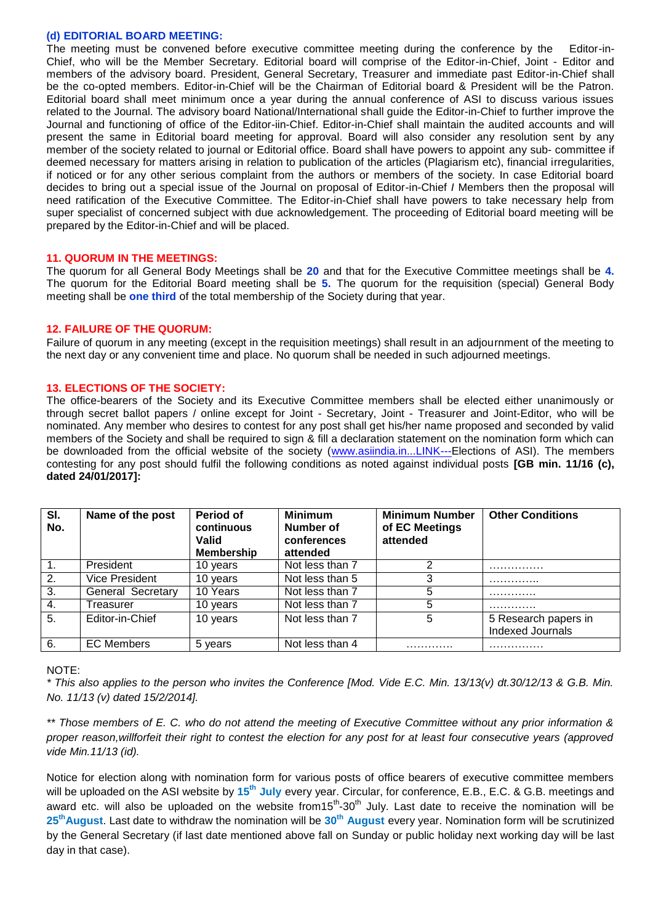#### **(d) EDITORIAL BOARD MEETING:**

The meeting must be convened before executive committee meeting during the conference by the Editor-in-Chief, who will be the Member Secretary. Editorial board will comprise of the Editor-in-Chief, Joint - Editor and members of the advisory board. President, General Secretary, Treasurer and immediate past Editor-in-Chief shall be the co-opted members. Editor-in-Chief will be the Chairman of Editorial board & President will be the Patron. Editorial board shall meet minimum once a year during the annual conference of ASI to discuss various issues related to the Journal. The advisory board National/International shall guide the Editor-in-Chief to further improve the Journal and functioning of office of the Editor-iin-Chief. Editor-in-Chief shall maintain the audited accounts and will present the same in Editorial board meeting for approval. Board will also consider any resolution sent by any member of the society related to journal or Editorial office. Board shall have powers to appoint any sub- committee if deemed necessary for matters arising in relation to publication of the articles (Plagiarism etc), financial irregularities, if noticed or for any other serious complaint from the authors or members of the society. In case Editorial board decides to bring out a special issue of the Journal on proposal of Editor-in-Chief *I* Members then the proposal will need ratification of the Executive Committee. The Editor-in-Chief shall have powers to take necessary help from super specialist of concerned subject with due acknowledgement. The proceeding of Editorial board meeting will be prepared by the Editor-in-Chief and will be placed.

#### **11. QUORUM IN THE MEETINGS:**

The quorum for all General Body Meetings shall be **20** and that for the Executive Committee meetings shall be **4.**  The quorum for the Editorial Board meeting shall be **5.** The quorum for the requisition (special) General Body meeting shall be **one third** of the total membership of the Society during that year.

#### **12. FAILURE OF THE QUORUM:**

Failure of quorum in any meeting (except in the requisition meetings) shall result in an adjournment of the meeting to the next day or any convenient time and place. No quorum shall be needed in such adjourned meetings.

### **13. ELECTIONS OF THE SOCIETY:**

The office-bearers of the Society and its Executive Committee members shall be elected either unanimously or through secret ballot papers / online except for Joint - Secretary, Joint - Treasurer and Joint-Editor, who will be nominated. Any member who desires to contest for any post shall get his/her name proposed and seconded by valid members of the Society and shall be required to sign & fill a declaration statement on the nomination form which can be downloaded from the official website of the society [\(www.asiindia.in...LINK---Elections](http://www.asiindia.in.link---elections/) of ASI). The members contesting for any post should fulfil the following conditions as noted against individual posts **[GB min. 11/16 (c), dated 24/01/2017]:**

| SI.<br>No.       | Name of the post         | Period of<br>continuous<br>Valid<br>Membership | <b>Minimum</b><br>Number of<br>conferences<br>attended | <b>Minimum Number</b><br>of EC Meetings<br>attended | <b>Other Conditions</b> |
|------------------|--------------------------|------------------------------------------------|--------------------------------------------------------|-----------------------------------------------------|-------------------------|
| $\mathbf{1}$ .   | President                | 10 years                                       | Not less than 7                                        |                                                     | .                       |
| 2.               | Vice President           | 10 years                                       | Not less than 5                                        | 3                                                   | .                       |
| $\overline{3}$ . | <b>General Secretary</b> | 10 Years                                       | Not less than 7                                        | 5                                                   | .                       |
| 4.               | Treasurer                | 10 years                                       | Not less than 7                                        | 5                                                   | .                       |
| 5.               | Editor-in-Chief          | 10 years                                       | Not less than 7                                        | 5                                                   | 5 Research papers in    |
|                  |                          |                                                |                                                        |                                                     | Indexed Journals        |
| 6.               | <b>EC Members</b>        | 5 years                                        | Not less than 4                                        | .                                                   | .                       |

#### NOTE:

*\* This also applies to the person who invites the Conference [Mod. Vide E.C. Min. 13/13(v) dt.30/12/13 & G.B. Min. No. 11/13 (v) dated 15/2/2014].*

*\*\* Those members of E. C. who do not attend the meeting of Executive Committee without any prior information & proper reason,willforfeit their right to contest the election for any post for at least four consecutive years (approved vide Min.11/13 (id).*

Notice for election along with nomination form for various posts of office bearers of executive committee members will be uploaded on the ASI website by **15th July** every year. Circular, for conference, E.B., E.C. & G.B. meetings and award etc. will also be uploaded on the website from15<sup>th</sup>-30<sup>th</sup> July. Last date to receive the nomination will be **25thAugust**. Last date to withdraw the nomination will be **30th August** every year. Nomination form will be scrutinized by the General Secretary (if last date mentioned above fall on Sunday or public holiday next working day will be last day in that case).